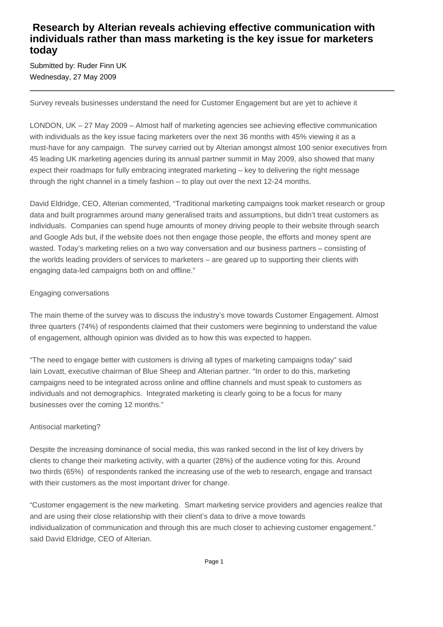# **Research by Alterian reveals achieving effective communication with individuals rather than mass marketing is the key issue for marketers today**

Submitted by: Ruder Finn UK Wednesday, 27 May 2009

Survey reveals businesses understand the need for Customer Engagement but are yet to achieve it

LONDON, UK – 27 May 2009 – Almost half of marketing agencies see achieving effective communication with individuals as the key issue facing marketers over the next 36 months with 45% viewing it as a must-have for any campaign. The survey carried out by Alterian amongst almost 100 senior executives from 45 leading UK marketing agencies during its annual partner summit in May 2009, also showed that many expect their roadmaps for fully embracing integrated marketing – key to delivering the right message through the right channel in a timely fashion – to play out over the next 12-24 months.

David Eldridge, CEO, Alterian commented, "Traditional marketing campaigns took market research or group data and built programmes around many generalised traits and assumptions, but didn't treat customers as individuals. Companies can spend huge amounts of money driving people to their website through search and Google Ads but, if the website does not then engage those people, the efforts and money spent are wasted. Today's marketing relies on a two way conversation and our business partners – consisting of the worlds leading providers of services to marketers – are geared up to supporting their clients with engaging data-led campaigns both on and offline."

#### Engaging conversations

The main theme of the survey was to discuss the industry's move towards Customer Engagement. Almost three quarters (74%) of respondents claimed that their customers were beginning to understand the value of engagement, although opinion was divided as to how this was expected to happen.

"The need to engage better with customers is driving all types of marketing campaigns today" said Iain Lovatt, executive chairman of Blue Sheep and Alterian partner. "In order to do this, marketing campaigns need to be integrated across online and offline channels and must speak to customers as individuals and not demographics. Integrated marketing is clearly going to be a focus for many businesses over the coming 12 months."

## Antisocial marketing?

Despite the increasing dominance of social media, this was ranked second in the list of key drivers by clients to change their marketing activity, with a quarter (28%) of the audience voting for this. Around two thirds (65%) of respondents ranked the increasing use of the web to research, engage and transact with their customers as the most important driver for change.

"Customer engagement is the new marketing. Smart marketing service providers and agencies realize that and are using their close relationship with their client's data to drive a move towards individualization of communication and through this are much closer to achieving customer engagement." said David Eldridge, CEO of Alterian.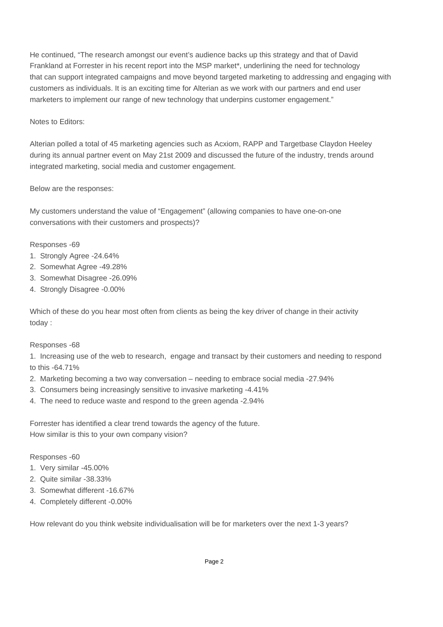He continued, "The research amongst our event's audience backs up this strategy and that of David Frankland at Forrester in his recent report into the MSP market\*, underlining the need for technology that can support integrated campaigns and move beyond targeted marketing to addressing and engaging with customers as individuals. It is an exciting time for Alterian as we work with our partners and end user marketers to implement our range of new technology that underpins customer engagement."

# Notes to Editors:

Alterian polled a total of 45 marketing agencies such as Acxiom, RAPP and Targetbase Claydon Heeley during its annual partner event on May 21st 2009 and discussed the future of the industry, trends around integrated marketing, social media and customer engagement.

# Below are the responses:

My customers understand the value of "Engagement" (allowing companies to have one-on-one conversations with their customers and prospects)? 

# Responses - 69

- 1. Strongly Agree 24.64%
- 2. Somewhat Agree 49.28%
- 3. Somewhat Disagree 26.09%
- 4. Strongly Disagree 0.00%

Which of these do you hear most often from clients as being the key driver of change in their activity today : 

## Responses - 68

1. Increasing use of the web to research, engage and transact by their customers and needing to respond to this  $-64.71%$ 

- 2. Marketing becoming a two way conversation needing to embrace social media 27.94%
- 3. Consumers being increasingly sensitive to invasive marketing 4.41%
- 4. The need to reduce waste and respond to the green agenda 2.94%

Forrester has identified a clear trend towards the agency of the future. How similar is this to your own company vision? 

## Responses - 60

- 1. Very similar 45.00%
- 2. Quite similar 38.33%
- 3. Somewhat different 16.67%
- 4. Completely different 0.00%

How relevant do you think website individualisation will be for marketers over the next 1-3 years?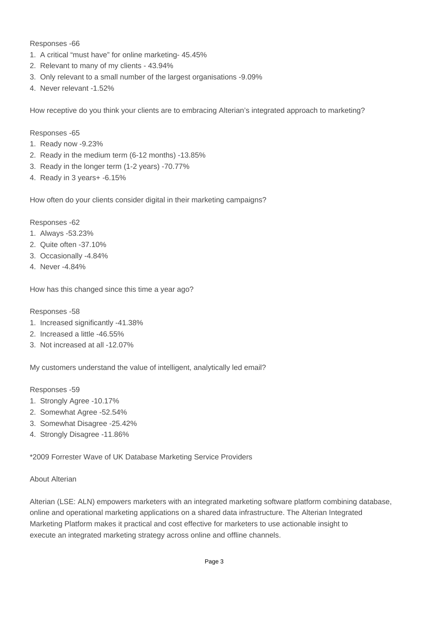Responses - 66

- 1. A critical "must have" for online marketing 45.45%
- 2. Relevant to many of my clients 43.94%
- 3. Only relevant to a small number of the largest organisations 9.09%
- 4. Never relevant 1.52%

How receptive do you think your clients are to embracing Alterian's integrated approach to marketing? 

Responses - 65

- 1. Ready now 9.23%
- 2. Ready in the medium term  $(6-12 \text{ months}) 13.85\%$
- 3. Ready in the longer term (1-2 years) 70.77%
- 4. Ready in 3 years+ 6.15%

How often do your clients consider digital in their marketing campaigns?

Responses - 62

- 1. Always 53.23%
- 2. Quite often 37.10%
- 3. Occasionally 4.84%
- 4. Never 4.84%

How has this changed since this time a year ago? 

Responses - 58

- 1. Increased significantly 41.38%
- 2. Increased a little 46.55%
- 3. Not increased at all 12.07%

My customers understand the value of intelligent, analytically led email? 

Responses - 59

- 1. Strongly Agree 10.17%
- 2. Somewhat Agree 52.54%
- 3. Somewhat Disagree 25.42%
- 4. Strongly Disagree 11.86%

\*2009 Forrester Wave of UK Database Marketing Service Providers

#### About Alterian

Alterian (LSE: ALN) empowers marketers with an integrated marketing software platform combining database, online and operational marketing applications on a shared data infrastructure. The Alterian Integrated Marketing Platform makes it practical and cost effective for marketers to use actionable insight to execute an integrated marketing strategy across online and offline channels.